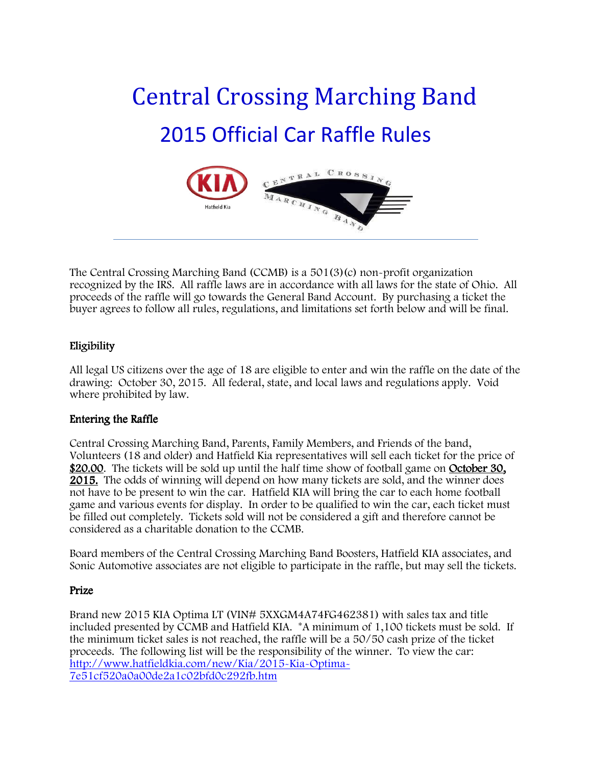# Central Crossing Marching Band 2015 Official Car Raffle Rules



The Central Crossing Marching Band (CCMB) is a 501(3)(c) non-profit organization recognized by the IRS. All raffle laws are in accordance with all laws for the state of Ohio. All proceeds of the raffle will go towards the General Band Account. By purchasing a ticket the buyer agrees to follow all rules, regulations, and limitations set forth below and will be final.

## Eligibility

All legal US citizens over the age of 18 are eligible to enter and win the raffle on the date of the drawing: October 30, 2015. All federal, state, and local laws and regulations apply. Void where prohibited by law.

### Entering the Raffle

Central Crossing Marching Band, Parents, Family Members, and Friends of the band, Volunteers (18 and older) and Hatfield Kia representatives will sell each ticket for the price of \$20.00. The tickets will be sold up until the half time show of football game on October 30, 2015. The odds of winning will depend on how many tickets are sold, and the winner does not have to be present to win the car. Hatfield KIA will bring the car to each home football game and various events for display. In order to be qualified to win the car, each ticket must be filled out completely. Tickets sold will not be considered a gift and therefore cannot be considered as a charitable donation to the CCMB.

Board members of the Central Crossing Marching Band Boosters, Hatfield KIA associates, and Sonic Automotive associates are not eligible to participate in the raffle, but may sell the tickets.

## Prize

Brand new 2015 KIA Optima LT (VIN# 5XXGM4A74FG462381) with sales tax and title included presented by CCMB and Hatfield KIA. \*A minimum of 1,100 tickets must be sold. If the minimum ticket sales is not reached, the raffle will be a 50/50 cash prize of the ticket proceeds. The following list will be the responsibility of the winner. To view the car: http://www.hatfieldkia.com/new/Kia/2015-Kia-Optima-7e51cf520a0a00de2a1c02bfd0c292fb.htm